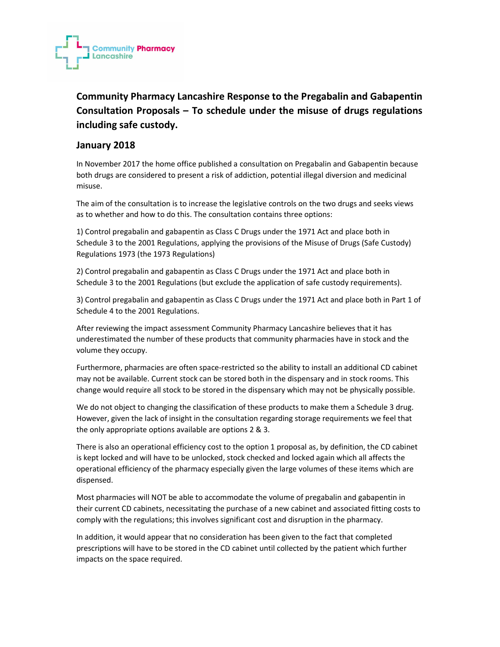

Community Pharmacy Lancashire Response to the Pregabalin and Gabapentin Consultation Proposals – To schedule under the misuse of drugs regulations including safe custody.

## January 2018

In November 2017 the home office published a consultation on Pregabalin and Gabapentin because both drugs are considered to present a risk of addiction, potential illegal diversion and medicinal misuse.

The aim of the consultation is to increase the legislative controls on the two drugs and seeks views as to whether and how to do this. The consultation contains three options:

1) Control pregabalin and gabapentin as Class C Drugs under the 1971 Act and place both in Schedule 3 to the 2001 Regulations, applying the provisions of the Misuse of Drugs (Safe Custody) Regulations 1973 (the 1973 Regulations)

2) Control pregabalin and gabapentin as Class C Drugs under the 1971 Act and place both in Schedule 3 to the 2001 Regulations (but exclude the application of safe custody requirements).

3) Control pregabalin and gabapentin as Class C Drugs under the 1971 Act and place both in Part 1 of Schedule 4 to the 2001 Regulations.

After reviewing the impact assessment Community Pharmacy Lancashire believes that it has underestimated the number of these products that community pharmacies have in stock and the volume they occupy.

Furthermore, pharmacies are often space-restricted so the ability to install an additional CD cabinet may not be available. Current stock can be stored both in the dispensary and in stock rooms. This change would require all stock to be stored in the dispensary which may not be physically possible.

We do not object to changing the classification of these products to make them a Schedule 3 drug. However, given the lack of insight in the consultation regarding storage requirements we feel that the only appropriate options available are options 2 & 3.

There is also an operational efficiency cost to the option 1 proposal as, by definition, the CD cabinet is kept locked and will have to be unlocked, stock checked and locked again which all affects the operational efficiency of the pharmacy especially given the large volumes of these items which are dispensed.

Most pharmacies will NOT be able to accommodate the volume of pregabalin and gabapentin in their current CD cabinets, necessitating the purchase of a new cabinet and associated fitting costs to comply with the regulations; this involves significant cost and disruption in the pharmacy.

In addition, it would appear that no consideration has been given to the fact that completed prescriptions will have to be stored in the CD cabinet until collected by the patient which further impacts on the space required.